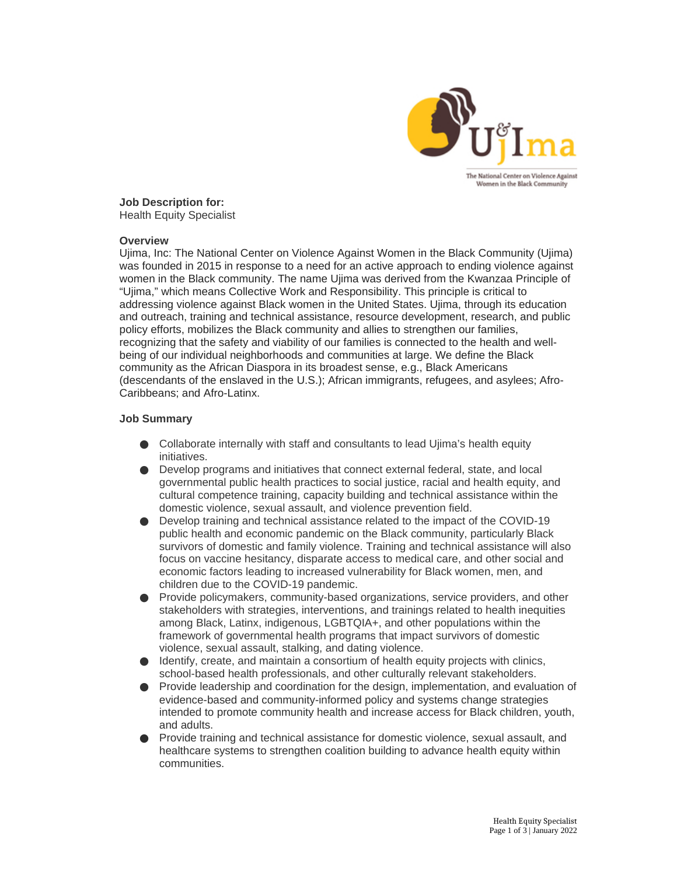

**Job Description for:** Health Equity Specialist

#### **Overview**

Ujima, Inc: The National Center on Violence Against Women in the Black Community (Ujima) was founded in 2015 in response to a need for an active approach to ending violence against women in the Black community. The name Ujima was derived from the Kwanzaa Principle of "Ujima," which means Collective Work and Responsibility. This principle is critical to addressing violence against Black women in the United States. Ujima, through its education and outreach, training and technical assistance, resource development, research, and public policy efforts, mobilizes the Black community and allies to strengthen our families, recognizing that the safety and viability of our families is connected to the health and wellbeing of our individual neighborhoods and communities at large. We define the Black community as the African Diaspora in its broadest sense, e.g., Black Americans (descendants of the enslaved in the U.S.); African immigrants, refugees, and asylees; Afro-Caribbeans; and Afro-Latinx.

#### **Job Summary**

- Collaborate internally with staff and consultants to lead Ujima's health equity initiatives.
- $\bullet$  Develop programs and initiatives that connect external federal, state, and local governmental public health practices to social justice, racial and health equity, and cultural competence training, capacity building and technical assistance within the domestic violence, sexual assault, and violence prevention field.
- Develop training and technical assistance related to the impact of the COVID-19 public health and economic pandemic on the Black community, particularly Black survivors of domestic and family violence. Training and technical assistance will also focus on vaccine hesitancy, disparate access to medical care, and other social and economic factors leading to increased vulnerability for Black women, men, and children due to the COVID-19 pandemic.
- Provide policymakers, community-based organizations, service providers, and other stakeholders with strategies, interventions, and trainings related to health inequities among Black, Latinx, indigenous, LGBTQIA+, and other populations within the framework of governmental health programs that impact survivors of domestic violence, sexual assault, stalking, and dating violence.
- Identify, create, and maintain a consortium of health equity projects with clinics, school-based health professionals, and other culturally relevant stakeholders.
- Provide leadership and coordination for the design, implementation, and evaluation of evidence-based and community-informed policy and systems change strategies intended to promote community health and increase access for Black children, youth, and adults.
- Provide training and technical assistance for domestic violence, sexual assault, and healthcare systems to strengthen coalition building to advance health equity within communities.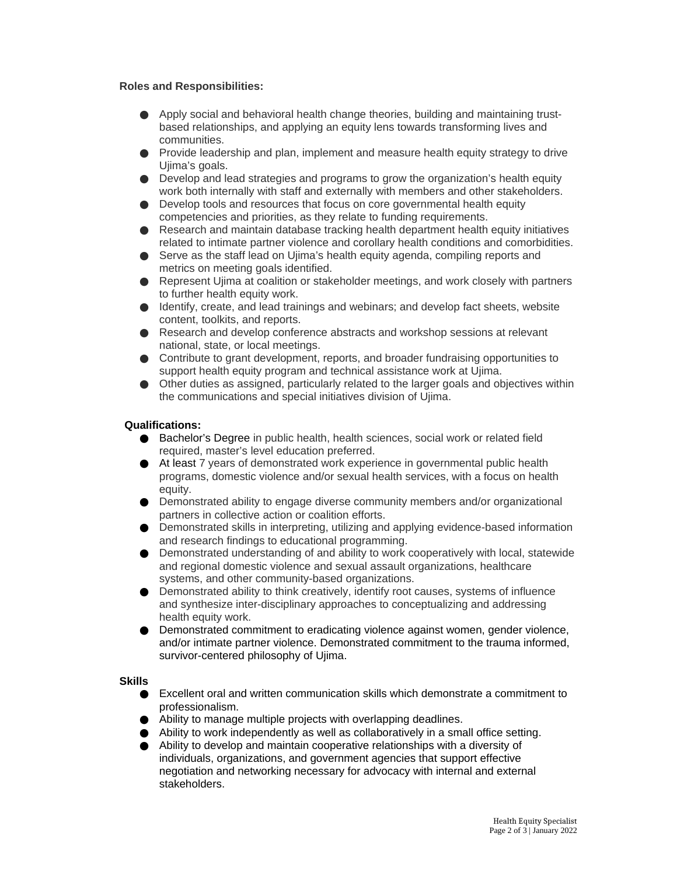## **Roles and Responsibilities:**

- Apply social and behavioral health change theories, building and maintaining trustbased relationships, and applying an equity lens towards transforming lives and communities.
- Provide leadership and plan, implement and measure health equity strategy to drive Ujima's goals.
- Develop and lead strategies and programs to grow the organization's health equity work both internally with staff and externally with members and other stakeholders.
- Develop tools and resources that focus on core governmental health equity competencies and priorities, as they relate to funding requirements.
- Research and maintain database tracking health department health equity initiatives related to intimate partner violence and corollary health conditions and comorbidities.
- Serve as the staff lead on Ujima's health equity agenda, compiling reports and metrics on meeting goals identified.
- Represent Ujima at coalition or stakeholder meetings, and work closely with partners to further health equity work.
- $\bullet$  Identify, create, and lead trainings and webinars; and develop fact sheets, website content, toolkits, and reports.
- Research and develop conference abstracts and workshop sessions at relevant national, state, or local meetings.
- Contribute to grant development, reports, and broader fundraising opportunities to support health equity program and technical assistance work at Ujima.
- Other duties as assigned, particularly related to the larger goals and objectives within the communications and special initiatives division of Ujima.

# **Qualifications:**

- Bachelor's Degree in public health, health sciences, social work or related field required, master's level education preferred.
- At least 7 years of demonstrated work experience in governmental public health programs, domestic violence and/or sexual health services, with a focus on health equity.
- Demonstrated ability to engage diverse community members and/or organizational partners in collective action or coalition efforts.
- Demonstrated skills in interpreting, utilizing and applying evidence-based information and research findings to educational programming.
- Demonstrated understanding of and ability to work cooperatively with local, statewide and regional domestic violence and sexual assault organizations, healthcare systems, and other community-based organizations.
- Demonstrated ability to think creatively, identify root causes, systems of influence and synthesize inter-disciplinary approaches to conceptualizing and addressing health equity work.
- Demonstrated commitment to eradicating violence against women, gender violence, and/or intimate partner violence. Demonstrated commitment to the trauma informed, survivor-centered philosophy of Ujima.

## **Skills**

- Excellent oral and written communication skills which demonstrate a commitment to professionalism.
- Ability to manage multiple projects with overlapping deadlines.
- Ability to work independently as well as collaboratively in a small office setting.
- Ability to develop and maintain cooperative relationships with a diversity of individuals, organizations, and government agencies that support effective negotiation and networking necessary for advocacy with internal and external stakeholders.